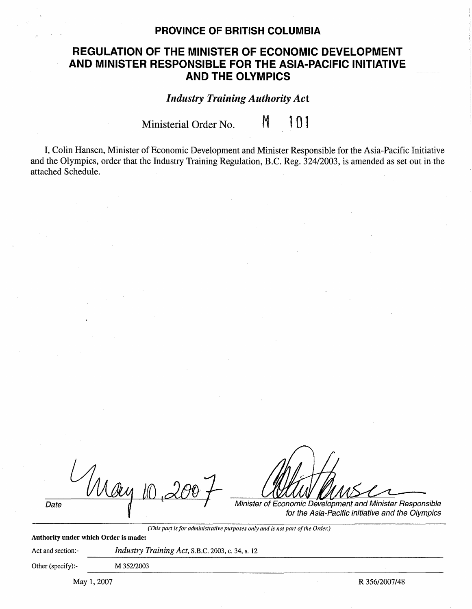## **PROVINCE OF BRITISH COLUMBIA**

## **REGULATION OF THE MINISTER OF ECONOMIC DEVELOPMENT AND MINISTER RESPONSIBLE FOR THE ASIA-PACIFIC INITIATIVE AND THE OLYMPICS**

*Industry Training Authority Act* 

Ministerial Order No.  $M = 101$ 

I, Colin Hansen, Minister of Economic Development and Minister Responsible for the Asia-Pacific Initiative and the Olympics, order that the Industry Training Regulation, B.C. Reg. 324/2003, is amended as set out in the attached Schedule.

|      | $\mathcal{U}$ | И<br>$\overline{\mathcal{M}}$<br>,,,                      |
|------|---------------|-----------------------------------------------------------|
| Date |               | Minister of Economic Development and Minister Responsible |

for the Asia-Pacific initiative and the Olympics

*(This part is for administrative purposes only and is not part of the Order.)* 

**Authority under which Order is made:** 

Act and section:- *Industry Training Act*, S.B.C. 2003, c. 34, s. 12

Other (specify):- **M** 352/2003

May 1, 2007 R 356/2007/48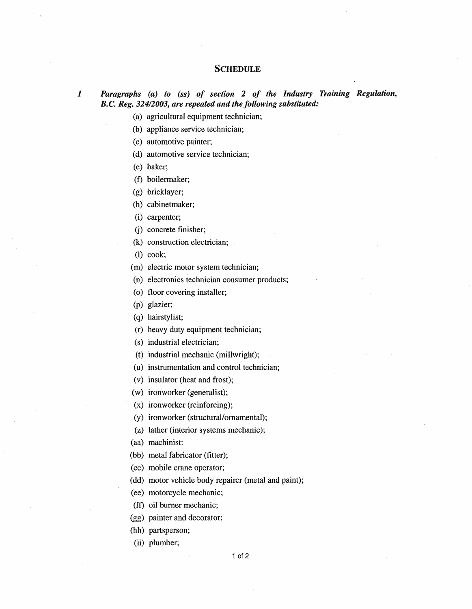## **SCHEDULE**

*I Paragraphs (a) to (ss) of section 2 of the Industry Training Regulation, B. C. Reg. 324/2003, are repealed and the following substituted:* 

(a) agricultural equipment technician;

(b) appliance service technician;

(c) automotive painter;

(d) automotive service technician;

(e) baker;

(f) boilermaker;

(g) bricklayer;

(h) cabinetmaker;

(i) carpenter;

G) concrete finisher;

(k) construction electrician;

(I) cook;

(m) electric motor system technician;

(n) electronics technician consumer products;

(o) floor covering installer;

(p) glazier;

(q) hairstylist;

(r) heavy duty equipment technician;

(s) industrial electrician;

(t) industrial mechanic (millwright);

(u) instrumentation and control technician;

(v) insulator (heat and frost);

(w) ironworker (generalist);

(x) ironworker (reinforcing);

(y) ironworker (structural/ornamental);

(z) lather (interior systems mechanic);

(aa) machinist:

(bb) metal fabricator (fitter);

(cc) mobile crane operator;

(dd) motor vehicle body repairer (metal and paint);

(ee) motorcycle mechanic;

(ff) oil burner mechanic;

(gg) painter and decorator:

(hh) partsperson;

(ii) plumber;

1 of 2